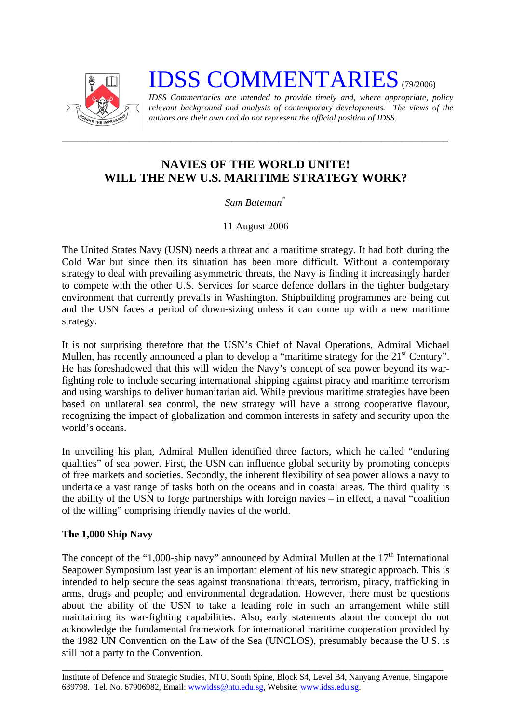

# **IDSS COMMENTARIES** (79/2006)

*IDSS Commentaries are intended to provide timely and, where appropriate, policy relevant background and analysis of contemporary developments. The views of the authors are their own and do not represent the official position of IDSS.* 

# **NAVIES OF THE WORLD UNITE! WILL THE NEW U.S. MARITIME STRATEGY WORK?**

*\_\_\_\_\_\_\_\_\_\_\_\_\_\_\_\_\_\_\_\_\_\_\_\_\_\_\_\_\_\_\_\_\_\_\_\_\_\_\_\_\_\_\_\_\_\_\_\_\_\_\_\_\_\_\_\_\_\_\_\_\_\_\_\_\_\_\_\_\_\_\_\_\_\_\_* 

## *Sam Bateman*[\\*](#page-2-0)

## 11 August 2006

The United States Navy (USN) needs a threat and a maritime strategy. It had both during the Cold War but since then its situation has been more difficult. Without a contemporary strategy to deal with prevailing asymmetric threats, the Navy is finding it increasingly harder to compete with the other U.S. Services for scarce defence dollars in the tighter budgetary environment that currently prevails in Washington. Shipbuilding programmes are being cut and the USN faces a period of down-sizing unless it can come up with a new maritime strategy.

It is not surprising therefore that the USN's Chief of Naval Operations, Admiral Michael Mullen, has recently announced a plan to develop a "maritime strategy for the 21<sup>st</sup> Century". He has foreshadowed that this will widen the Navy's concept of sea power beyond its warfighting role to include securing international shipping against piracy and maritime terrorism and using warships to deliver humanitarian aid. While previous maritime strategies have been based on unilateral sea control, the new strategy will have a strong cooperative flavour, recognizing the impact of globalization and common interests in safety and security upon the world's oceans.

In unveiling his plan, Admiral Mullen identified three factors, which he called "enduring qualities" of sea power. First, the USN can influence global security by promoting concepts of free markets and societies. Secondly, the inherent flexibility of sea power allows a navy to undertake a vast range of tasks both on the oceans and in coastal areas. The third quality is the ability of the USN to forge partnerships with foreign navies – in effect, a naval "coalition of the willing" comprising friendly navies of the world.

#### **The 1,000 Ship Navy**

The concept of the "1,000-ship navy" announced by Admiral Mullen at the  $17<sup>th</sup>$  International Seapower Symposium last year is an important element of his new strategic approach. This is intended to help secure the seas against transnational threats, terrorism, piracy, trafficking in arms, drugs and people; and environmental degradation. However, there must be questions about the ability of the USN to take a leading role in such an arrangement while still maintaining its war-fighting capabilities. Also, early statements about the concept do not acknowledge the fundamental framework for international maritime cooperation provided by the 1982 UN Convention on the Law of the Sea (UNCLOS), presumably because the U.S. is still not a party to the Convention.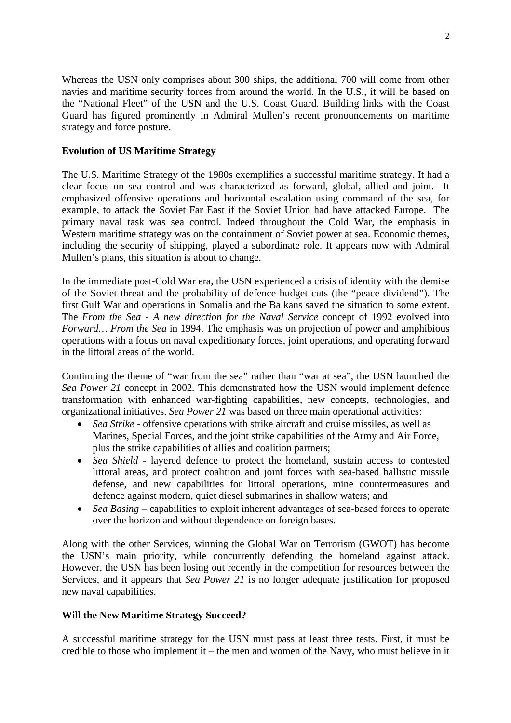Whereas the USN only comprises about 300 ships, the additional 700 will come from other navies and maritime security forces from around the world. In the U.S., it will be based on the "National Fleet" of the USN and the U.S. Coast Guard. Building links with the Coast Guard has figured prominently in Admiral Mullen's recent pronouncements on maritime strategy and force posture.

#### **Evolution of US Maritime Strategy**

The U.S. Maritime Strategy of the 1980s exemplifies a successful maritime strategy. It had a clear focus on sea control and was characterized as forward, global, allied and joint. It emphasized offensive operations and horizontal escalation using command of the sea, for example, to attack the Soviet Far East if the Soviet Union had have attacked Europe. The primary naval task was sea control. Indeed throughout the Cold War, the emphasis in Western maritime strategy was on the containment of Soviet power at sea. Economic themes, including the security of shipping, played a subordinate role. It appears now with Admiral Mullen's plans, this situation is about to change.

In the immediate post-Cold War era, the USN experienced a crisis of identity with the demise of the Soviet threat and the probability of defence budget cuts (the "peace dividend"). The first Gulf War and operations in Somalia and the Balkans saved the situation to some extent. The *From the Sea - A new direction for the Naval Service* concept of 1992 evolved into *Forward… From the Sea* in 1994. The emphasis was on projection of power and amphibious operations with a focus on naval expeditionary forces, joint operations, and operating forward in the littoral areas of the world.

Continuing the theme of "war from the sea" rather than "war at sea", the USN launched the *Sea Power 21* concept in 2002*.* This demonstrated how the USN would implement defence transformation with enhanced war-fighting capabilities, new concepts, technologies, and organizational initiatives. *Sea Power 21* was based on three main operational activities:

- *Sea Strike* offensive operations with strike aircraft and cruise missiles, as well as Marines, Special Forces, and the joint strike capabilities of the Army and Air Force, plus the strike capabilities of allies and coalition partners;
- *Sea Shield* layered defence to protect the homeland, sustain access to contested littoral areas, and protect coalition and joint forces with sea-based ballistic missile defense, and new capabilities for littoral operations, mine countermeasures and defence against modern, quiet diesel submarines in shallow waters; and
- *Sea Basing –* capabilities to exploit inherent advantages of sea-based forces to operate over the horizon and without dependence on foreign bases.

Along with the other Services, winning the Global War on Terrorism (GWOT) has become the USN's main priority, while concurrently defending the homeland against attack. However, the USN has been losing out recently in the competition for resources between the Services, and it appears that *Sea Power 21* is no longer adequate justification for proposed new naval capabilities.

#### **Will the New Maritime Strategy Succeed?**

A successful maritime strategy for the USN must pass at least three tests. First, it must be credible to those who implement it – the men and women of the Navy, who must believe in it